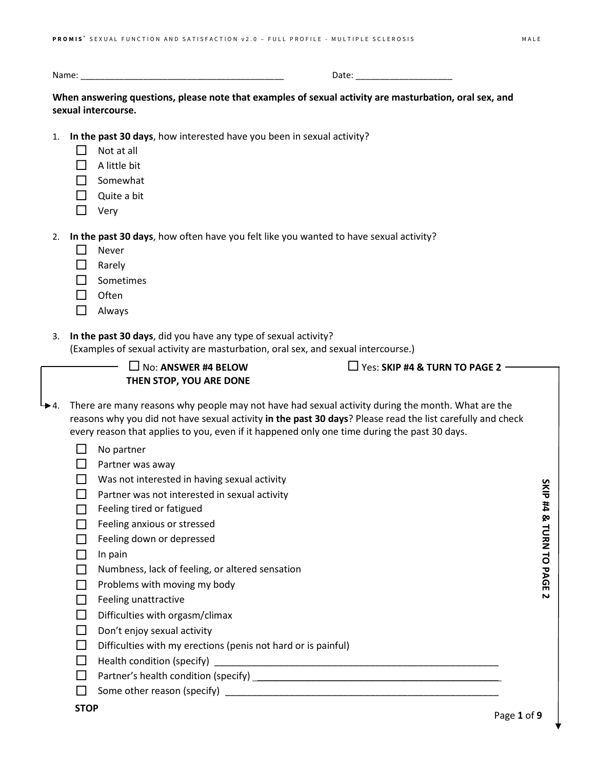Name: \_\_\_\_\_\_\_\_\_\_\_\_\_\_\_\_\_\_\_\_\_\_\_\_\_\_\_\_\_\_\_\_\_\_\_\_\_\_\_\_\_\_ Date: \_\_\_\_\_\_\_\_\_\_\_\_\_\_\_\_\_\_\_\_

**When answering questions, please note that examples of sexual activity are masturbation, oral sex, and sexual intercourse.**

- 1. **In the past 30 days**, how interested have you been in sexual activity?
	- $\Box$  Not at all
	- $\Box$  A little bit
	- $\Box$  Somewhat
	- $\Box$  Quite a bit
	- $\Box$  Very

2. **In the past 30 days**, how often have you felt like you wanted to have sexual activity?

- $\Box$  Never
- **D** Rarely
- $\Box$  Sometimes
- $\Box$  Often
- Always
- 3. **In the past 30 days**, did you have any type of sexual activity?

(Examples of sexual activity are masturbation, oral sex, and sexual intercourse.)

| L, | $\Box$ No: ANSWER #4 BELOW |
|----|----------------------------|
|    | THEN STOP, YOU ARE DONE    |

 $\Box$  Yes: **SKIP #4 & TURN TO PAGE 2**  $-$ 

- $\rightarrow$  4. There are many reasons why people may not have had sexual activity during the month. What are the reasons why you did not have sexual activity **in the past 30 days**? Please read the list carefully and check every reason that applies to you, even if it happened only one time during the past 30 days.
	- $\Box$  No partner
	- $\Box$  Partner was away
	- $\Box$  Was not interested in having sexual activity
	- $\Box$  Partner was not interested in sexual activity
	- $\Box$  Feeling tired or fatigued
	- $\Box$  Feeling anxious or stressed
	- $\Box$  Feeling down or depressed
	- $\Box$  In pain
	- $\Box$  Numbness, lack of feeling, or altered sensation
	- $\Box$  Problems with moving my body
	- $\Box$  Feeling unattractive
	- $\Box$  Difficulties with orgasm/climax
	- $\Box$  Don't enjoy sexual activity
	- $\Box$  Difficulties with my erections (penis not hard or is painful)
	- $\Box$  Health condition (specify)  $\Box$  Health condition (specify)
	- $\Box$  Partner's health condition (specify)  $\Box$
	- $\Box$  Some other reason (specify)

Page **1** of **9**

SKIP #4 & TURN TO PAGE 2 **SKIP #4 & TURN TO PAGE 2**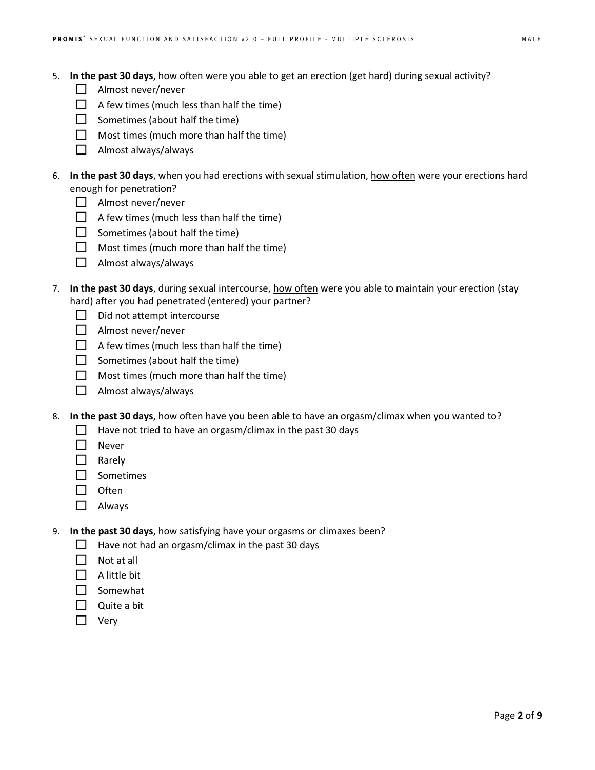- 5. **In the past 30 days**, how often were you able to get an erection (get hard) during sexual activity?
	- $\Box$  Almost never/never
	- $\Box$  A few times (much less than half the time)
	- $\Box$  Sometimes (about half the time)
	- $\Box$  Most times (much more than half the time)
	- Almost always/always
- 6. **In the past 30 days**, when you had erections with sexual stimulation, how often were your erections hard enough for penetration?
	- $\Box$  Almost never/never
	- $\Box$  A few times (much less than half the time)
	- $\Box$  Sometimes (about half the time)
	- $\Box$  Most times (much more than half the time)
	- $\Box$  Almost always/always
- 7. **In the past 30 days**, during sexual intercourse, how often were you able to maintain your erection (stay hard) after you had penetrated (entered) your partner?
	- $\Box$  Did not attempt intercourse
	- $\Box$  Almost never/never
	- $\Box$  A few times (much less than half the time)
	- $\Box$  Sometimes (about half the time)
	- $\Box$  Most times (much more than half the time)
	- $\Box$  Almost always/always
- 8. **In the past 30 days**, how often have you been able to have an orgasm/climax when you wanted to?
	- $\Box$  Have not tried to have an orgasm/climax in the past 30 days
	- **Never**
	- $\Box$  Rarely
	- $\Box$  Sometimes
	- $\Box$  Often
	- Always
- 9. **In the past 30 days**, how satisfying have your orgasms or climaxes been?
	- $\Box$  Have not had an orgasm/climax in the past 30 days
	- $\Box$  Not at all
	- $\Box$  A little bit
	- $\Box$  Somewhat
	- $\Box$  Quite a bit
	- $\Box$  Very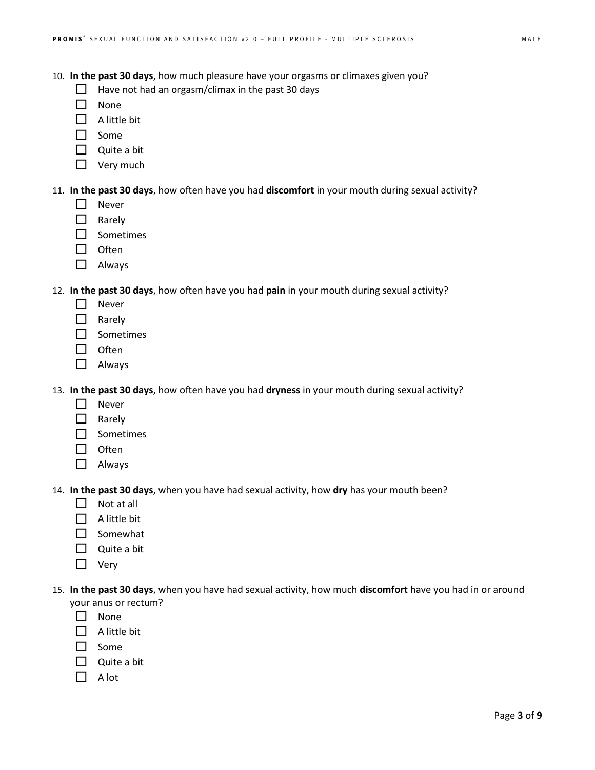10. **In the past 30 days**, how much pleasure have your orgasms or climaxes given you?

- $\Box$  Have not had an orgasm/climax in the past 30 days
- $\Box$  None
- $\Box$  A little bit
- $\Box$  Some
- $\Box$  Quite a bit
- $\Box$  Very much

11. **In the past 30 days**, how often have you had **discomfort** in your mouth during sexual activity?

- $\Box$  Never
- $\Box$  Rarely
- □ Sometimes
- $\Box$  Often
- Always

12. **In the past 30 days**, how often have you had **pain** in your mouth during sexual activity?

- □ Never
- □ Rarely
- □ Sometimes
- $\Box$  Often
- □ Always

13. **In the past 30 days**, how often have you had **dryness** in your mouth during sexual activity?

- **Never**
- $\Box$  Rarely
- $\square$  Sometimes
- $\Box$  Often
- Always

14. **In the past 30 days**, when you have had sexual activity, how **dry** has your mouth been?

- $\Box$  Not at all
- $\Box$  A little bit
- $\Box$  Somewhat
- $\Box$  Quite a bit
- $\Box$  Very
- 15. **In the past 30 days**, when you have had sexual activity, how much **discomfort** have you had in or around your anus or rectum?
	- $\Box$  None
	- $\Box$  A little bit
	- $\Box$  Some
	- $\Box$  Quite a bit
	- $\Box$  A lot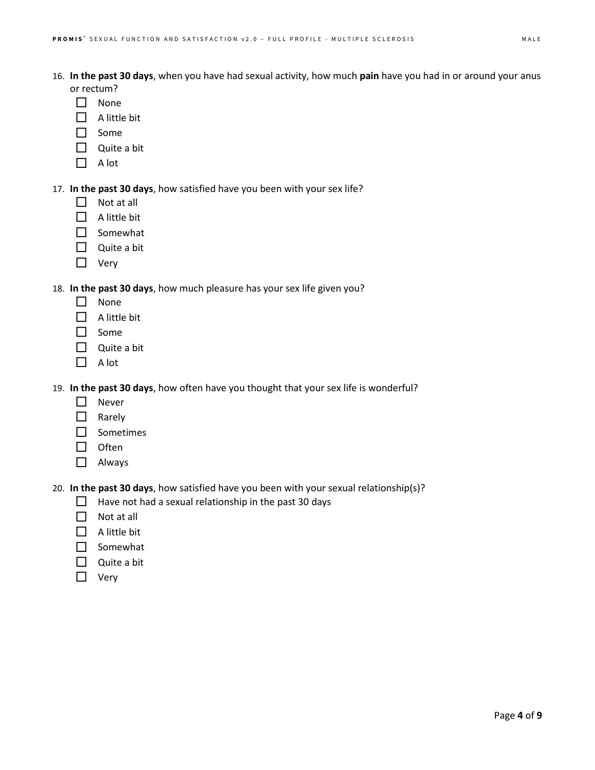- 16. **In the past 30 days**, when you have had sexual activity, how much **pain** have you had in or around your anus or rectum?
	- $\Box$  None
	- $\Box$  A little bit
	- $\Box$  Some
	- Quite a bit
	- $\Box$  A lot
- 17. **In the past 30 days**, how satisfied have you been with your sex life?
	- $\Box$  Not at all
	- $\Box$  A little bit
	- $\Box$  Somewhat
	- $\Box$  Quite a bit
	- □ Very

18. **In the past 30 days**, how much pleasure has your sex life given you?

- $\Box$  None
- $\Box$  A little bit
- □ Some
- $\Box$  Quite a bit
- $\Box$  A lot

19. **In the past 30 days**, how often have you thought that your sex life is wonderful?

- □ Never
- $\Box$  Rarely
- Sometimes
- $\Box$  Often
- □ Always

20. **In the past 30 days**, how satisfied have you been with your sexual relationship(s)?

- $\Box$  Have not had a sexual relationship in the past 30 days
- $\Box$  Not at all
- $\Box$  A little bit
- $\Box$  Somewhat
- $\Box$  Quite a bit
- □ Very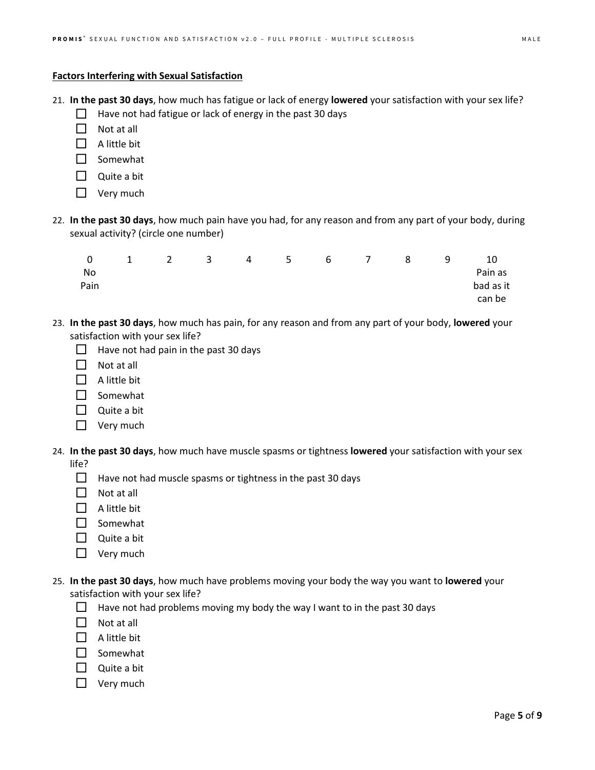## **Factors Interfering with Sexual Satisfaction**

- 21. **In the past 30 days**, how much has fatigue or lack of energy **lowered** your satisfaction with your sex life?
	- $\Box$  Have not had fatigue or lack of energy in the past 30 days
	- $\Box$  Not at all
	- $\Box$  A little bit
	- $\Box$  Somewhat
	- $\Box$  Quite a bit
	- $\Box$  Very much
- 22. **In the past 30 days**, how much pain have you had, for any reason and from any part of your body, during sexual activity? (circle one number)

| 0    | $\overline{1}$ | $\overline{2}$ |  | 3 4 5 6 7 8 |  | -9 | 10        |
|------|----------------|----------------|--|-------------|--|----|-----------|
| No.  |                |                |  |             |  |    | Pain as   |
| Pain |                |                |  |             |  |    | bad as it |
|      |                |                |  |             |  |    | can be    |

- 23. **In the past 30 days**, how much has pain, for any reason and from any part of your body, **lowered** your satisfaction with your sex life?
	- $\Box$  Have not had pain in the past 30 days
	- $\Box$  Not at all
	- $\Box$  A little bit
	- $\Box$  Somewhat
	- $\Box$  Quite a bit
	- $\Box$  Very much
- 24. **In the past 30 days**, how much have muscle spasms or tightness **lowered** your satisfaction with your sex life?
	- $\Box$  Have not had muscle spasms or tightness in the past 30 days
	- $\Box$  Not at all
	- $\Box$  A little bit
	- □ Somewhat
	- $\Box$  Quite a bit
	- □ Very much
- 25. **In the past 30 days**, how much have problems moving your body the way you want to **lowered** your satisfaction with your sex life?
	- Have not had problems moving my body the way I want to in the past 30 days
	- $\Box$  Not at all
	- $\Box$  A little bit
	- $\Box$  Somewhat
	- $\Box$  Quite a bit
	- $\Box$  Very much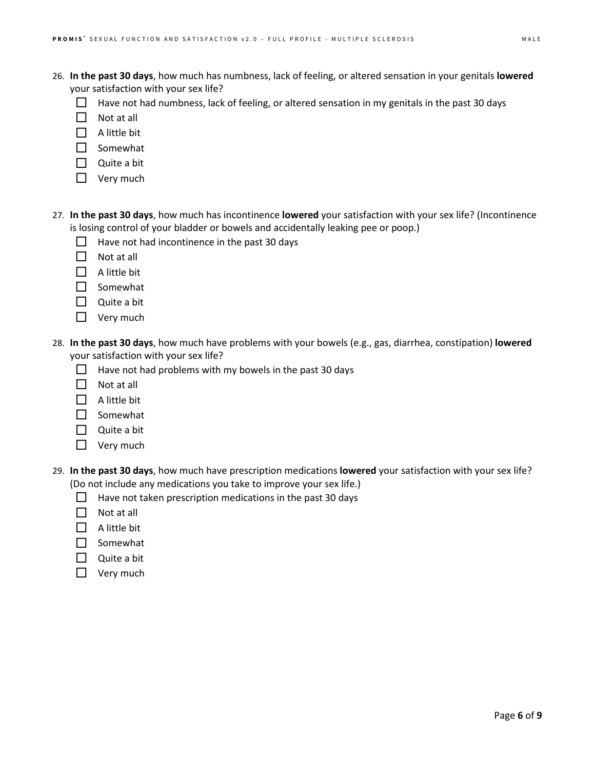- 26. **In the past 30 days**, how much has numbness, lack of feeling, or altered sensation in your genitals **lowered** your satisfaction with your sex life?
	- $\Box$  Have not had numbness, lack of feeling, or altered sensation in my genitals in the past 30 days
	- $\Box$  Not at all
	- $\Box$  A little bit
	- $\Box$  Somewhat
	- $\Box$  Quite a bit
	- $\Box$  Very much
- 27. **In the past 30 days**, how much has incontinence **lowered** your satisfaction with your sex life? (Incontinence is losing control of your bladder or bowels and accidentally leaking pee or poop.)
	- $\Box$  Have not had incontinence in the past 30 days
	- $\Box$  Not at all
	- $\Box$  A little bit
	- □ Somewhat
	- $\Box$  Quite a bit
	- $\Box$  Very much
- 28. **In the past 30 days**, how much have problems with your bowels (e.g., gas, diarrhea, constipation) **lowered** your satisfaction with your sex life?
	- $\Box$  Have not had problems with my bowels in the past 30 days
	- $\Pi$  Not at all
	- $\Box$  A little bit
	- $\Box$  Somewhat
	- Quite a bit
	- $\Box$  Very much
- 29. **In the past 30 days**, how much have prescription medications **lowered** your satisfaction with your sex life? (Do not include any medications you take to improve your sex life.)
	- $\Box$  Have not taken prescription medications in the past 30 days
	- $\Box$  Not at all
	- $\Box$  A little bit
	- □ Somewhat
	- $\Box$  Quite a bit
	- $\Box$  Very much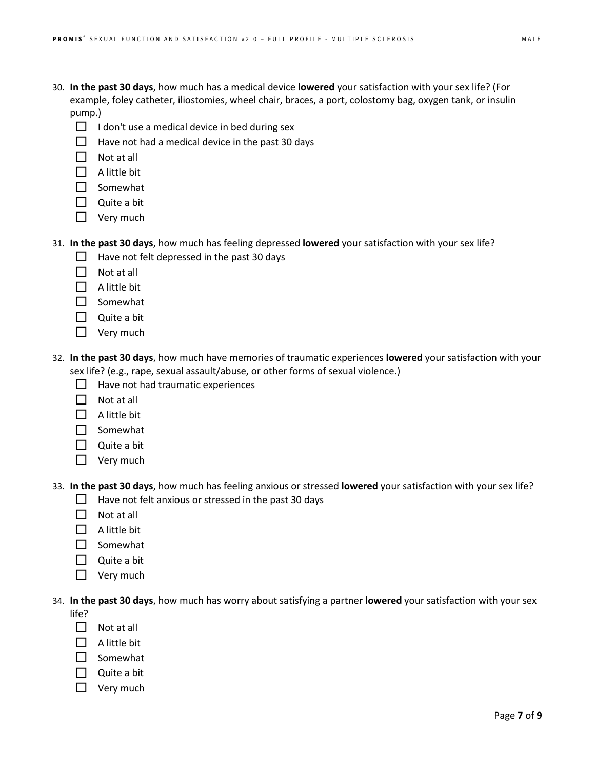- 30. **In the past 30 days**, how much has a medical device **lowered** your satisfaction with your sex life? (For example, foley catheter, iliostomies, wheel chair, braces, a port, colostomy bag, oxygen tank, or insulin pump.)
	- $\Box$  I don't use a medical device in bed during sex
	- $\Box$  Have not had a medical device in the past 30 days
	- $\Box$  Not at all
	- $\Box$  A little bit
	- $\Box$  Somewhat
	- Quite a bit
	- $\Box$  Very much

## 31. **In the past 30 days**, how much has feeling depressed **lowered** your satisfaction with your sex life?

- $\Box$  Have not felt depressed in the past 30 days
- $\Box$  Not at all
- $\Box$  A little bit
- $\square$  Somewhat
- $\Box$  Quite a bit
- $\Box$  Very much
- 32. **In the past 30 days**, how much have memories of traumatic experiences **lowered** your satisfaction with your sex life? (e.g., rape, sexual assault/abuse, or other forms of sexual violence.)
	- $\Box$  Have not had traumatic experiences
	- $\Box$  Not at all
	- $\Box$  A little bit
	- $\Box$  Somewhat
	- $\Box$  Quite a bit
	- $\Box$  Very much

33. **In the past 30 days**, how much has feeling anxious or stressed **lowered** your satisfaction with your sex life?

- $\Box$  Have not felt anxious or stressed in the past 30 days
- $\Pi$  Not at all
- $\Box$  A little bit
- $\Box$  Somewhat
- $\Box$  Quite a bit
- $\Box$  Very much

34. **In the past 30 days**, how much has worry about satisfying a partner **lowered** your satisfaction with your sex

- life?
- $\Box$  Not at all
- $\Box$  A little bit
- $\Box$  Somewhat
- $\Box$  Quite a bit
- $\Box$  Very much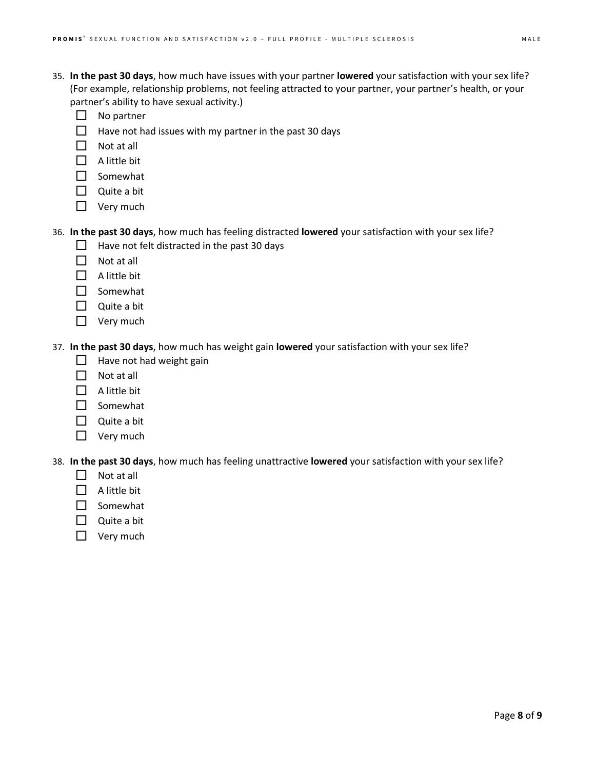- 35. **In the past 30 days**, how much have issues with your partner **lowered** your satisfaction with your sex life? (For example, relationship problems, not feeling attracted to your partner, your partner's health, or your partner's ability to have sexual activity.)
	- $\Box$  No partner
	- $\Box$  Have not had issues with my partner in the past 30 days
	- $\Box$  Not at all
	- $\Box$  A little bit
	- $\square$  Somewhat
	- $\Box$  Quite a bit
	- □ Very much

## 36. **In the past 30 days**, how much has feeling distracted **lowered** your satisfaction with your sex life?

- $\Box$  Have not felt distracted in the past 30 days
- $\Box$  Not at all
- $\Box$  A little bit
- $\Box$  Somewhat
- $\Box$  Quite a bit
- $\Box$  Very much

37. **In the past 30 days**, how much has weight gain **lowered** your satisfaction with your sex life?

- $\Box$  Have not had weight gain
- $\Box$  Not at all
- $\Box$  A little bit
- □ Somewhat
- $\Box$  Quite a bit
- $\Box$  Very much

38. **In the past 30 days**, how much has feeling unattractive **lowered** your satisfaction with your sex life?

- $\Box$  Not at all
- $\Box$  A little bit
- $\Box$  Somewhat
- $\Box$  Quite a bit
- $\Box$  Very much